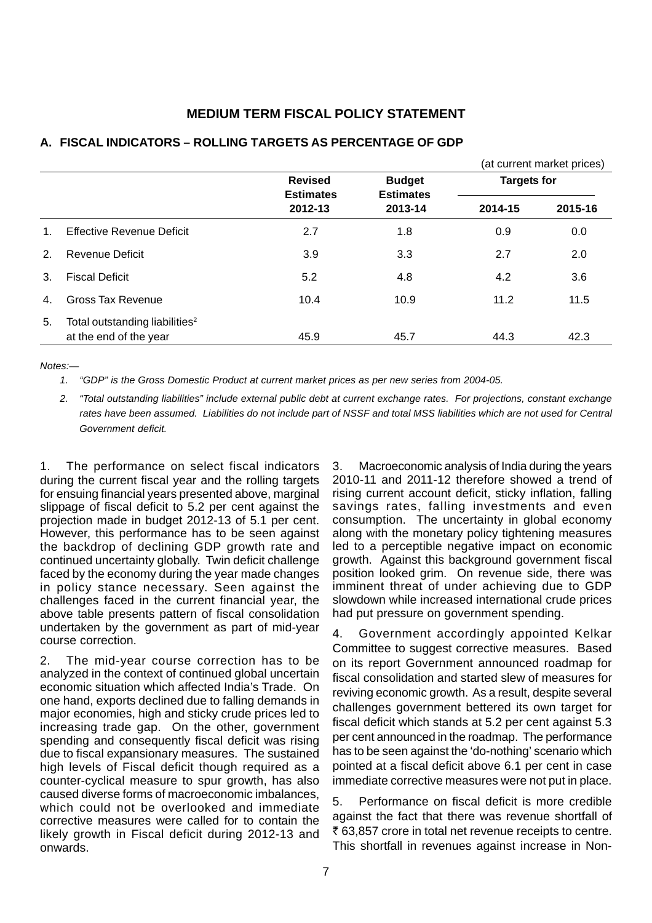# **MEDIUM TERM FISCAL POLICY STATEMENT**

|                |                                                                      | <b>Revised</b><br><b>Estimates</b><br>2012-13 |                                              | (at current market prices)<br><b>Targets for</b> |         |
|----------------|----------------------------------------------------------------------|-----------------------------------------------|----------------------------------------------|--------------------------------------------------|---------|
|                |                                                                      |                                               | <b>Budget</b><br><b>Estimates</b><br>2013-14 |                                                  |         |
|                |                                                                      |                                               |                                              | 2014-15                                          | 2015-16 |
| $\mathbf 1$    | <b>Effective Revenue Deficit</b>                                     | 2.7                                           | 1.8                                          | 0.9                                              | 0.0     |
| 2.             | Revenue Deficit                                                      | 3.9                                           | 3.3                                          | 2.7                                              | 2.0     |
| $\mathbf{3}$ . | <b>Fiscal Deficit</b>                                                | 5.2                                           | 4.8                                          | 4.2                                              | 3.6     |
| $\mathbf{4}$ . | Gross Tax Revenue                                                    | 10.4                                          | 10.9                                         | 11.2                                             | 11.5    |
| 5.             | Total outstanding liabilities <sup>2</sup><br>at the end of the year | 45.9                                          | 45.7                                         | 44.3                                             | 42.3    |

#### **A. FISCAL INDICATORS – ROLLING TARGETS AS PERCENTAGE OF GDP**

#### *Notes:—*

*1. "GDP" is the Gross Domestic Product at current market prices as per new series from 2004-05.*

*2. "Total outstanding liabilities" include external public debt at current exchange rates. For projections, constant exchange rates have been assumed. Liabilities do not include part of NSSF and total MSS liabilities which are not used for Central Government deficit.*

1. The performance on select fiscal indicators during the current fiscal year and the rolling targets for ensuing financial years presented above, marginal slippage of fiscal deficit to 5.2 per cent against the projection made in budget 2012-13 of 5.1 per cent. However, this performance has to be seen against the backdrop of declining GDP growth rate and continued uncertainty globally. Twin deficit challenge faced by the economy during the year made changes in policy stance necessary. Seen against the challenges faced in the current financial year, the above table presents pattern of fiscal consolidation undertaken by the government as part of mid-year course correction.

2. The mid-year course correction has to be analyzed in the context of continued global uncertain economic situation which affected India's Trade. On one hand, exports declined due to falling demands in major economies, high and sticky crude prices led to increasing trade gap. On the other, government spending and consequently fiscal deficit was rising due to fiscal expansionary measures. The sustained high levels of Fiscal deficit though required as a counter-cyclical measure to spur growth, has also caused diverse forms of macroeconomic imbalances, which could not be overlooked and immediate corrective measures were called for to contain the likely growth in Fiscal deficit during 2012-13 and onwards.

3. Macroeconomic analysis of India during the years 2010-11 and 2011-12 therefore showed a trend of rising current account deficit, sticky inflation, falling savings rates, falling investments and even consumption. The uncertainty in global economy along with the monetary policy tightening measures led to a perceptible negative impact on economic growth. Against this background government fiscal position looked grim. On revenue side, there was imminent threat of under achieving due to GDP slowdown while increased international crude prices had put pressure on government spending.

4. Government accordingly appointed Kelkar Committee to suggest corrective measures. Based on its report Government announced roadmap for fiscal consolidation and started slew of measures for reviving economic growth. As a result, despite several challenges government bettered its own target for fiscal deficit which stands at 5.2 per cent against 5.3 per cent announced in the roadmap. The performance has to be seen against the 'do-nothing' scenario which pointed at a fiscal deficit above 6.1 per cent in case immediate corrective measures were not put in place.

5. Performance on fiscal deficit is more credible against the fact that there was revenue shortfall of ₹ 63,857 crore in total net revenue receipts to centre. This shortfall in revenues against increase in Non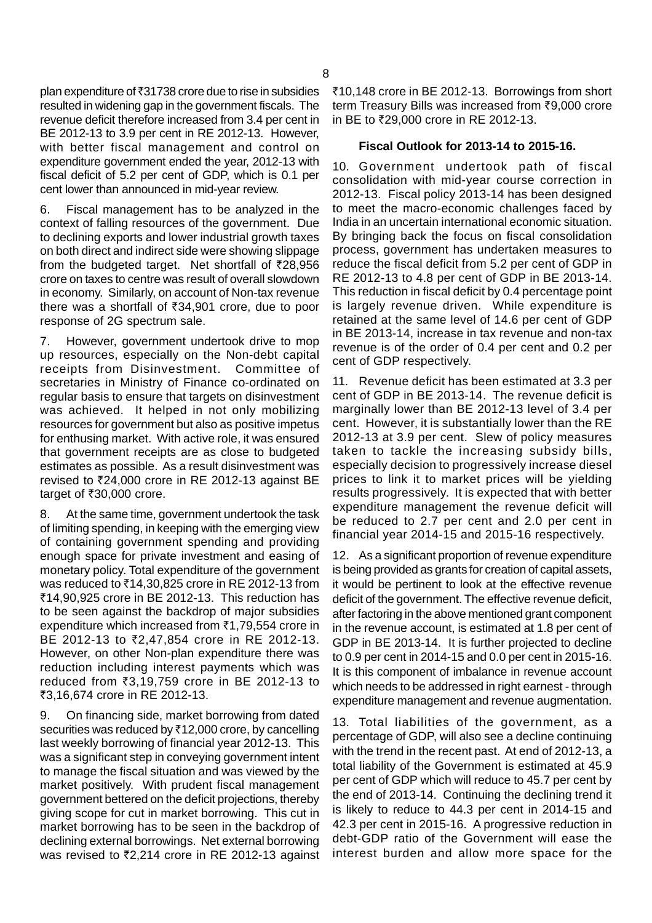plan expenditure of  $\bar{z}31738$  crore due to rise in subsidies resulted in widening gap in the government fiscals. The revenue deficit therefore increased from 3.4 per cent in BE 2012-13 to 3.9 per cent in RE 2012-13. However, with better fiscal management and control on expenditure government ended the year, 2012-13 with fiscal deficit of 5.2 per cent of GDP, which is 0.1 per cent lower than announced in mid-year review.

6. Fiscal management has to be analyzed in the context of falling resources of the government. Due to declining exports and lower industrial growth taxes on both direct and indirect side were showing slippage from the budgeted target. Net shortfall of  $\bar{\tau}$ 28,956 crore on taxes to centre was result of overall slowdown in economy. Similarly, on account of Non-tax revenue there was a shortfall of  $\bar{z}34.901$  crore, due to poor response of 2G spectrum sale.

7. However, government undertook drive to mop up resources, especially on the Non-debt capital receipts from Disinvestment. Committee of secretaries in Ministry of Finance co-ordinated on regular basis to ensure that targets on disinvestment was achieved. It helped in not only mobilizing resources for government but also as positive impetus for enthusing market. With active role, it was ensured that government receipts are as close to budgeted estimates as possible. As a result disinvestment was revised to  $\overline{z}24,000$  crore in RE 2012-13 against BE target of  $\overline{\mathfrak{3}0,000}$  crore.

8. At the same time, government undertook the task of limiting spending, in keeping with the emerging view of containing government spending and providing enough space for private investment and easing of monetary policy. Total expenditure of the government was reduced to  $\text{\textsterling}14,30.825$  crore in RE 2012-13 from ₹14,90,925 crore in BE 2012-13. This reduction has to be seen against the backdrop of major subsidies expenditure which increased from  $\bar{c}$ 1,79,554 crore in BE 2012-13 to ₹2,47,854 crore in RE 2012-13. However, on other Non-plan expenditure there was reduction including interest payments which was reduced from ₹3,19,759 crore in BE 2012-13 to ₹3,16,674 crore in RE 2012-13.

9. On financing side, market borrowing from dated securities was reduced by ₹12,000 crore, by cancelling last weekly borrowing of financial year 2012-13. This was a significant step in conveying government intent to manage the fiscal situation and was viewed by the market positively. With prudent fiscal management government bettered on the deficit projections, thereby giving scope for cut in market borrowing. This cut in market borrowing has to be seen in the backdrop of declining external borrowings. Net external borrowing was revised to  $\overline{z}$ 2,214 crore in RE 2012-13 against ₹10,148 crore in BE 2012-13. Borrowings from short term Treasury Bills was increased from ₹9,000 crore in BE to ₹29,000 crore in RE 2012-13.

#### **Fiscal Outlook for 2013-14 to 2015-16.**

10. Government undertook path of fiscal consolidation with mid-year course correction in 2012-13. Fiscal policy 2013-14 has been designed to meet the macro-economic challenges faced by India in an uncertain international economic situation. By bringing back the focus on fiscal consolidation process, government has undertaken measures to reduce the fiscal deficit from 5.2 per cent of GDP in RE 2012-13 to 4.8 per cent of GDP in BE 2013-14. This reduction in fiscal deficit by 0.4 percentage point is largely revenue driven. While expenditure is retained at the same level of 14.6 per cent of GDP in BE 2013-14, increase in tax revenue and non-tax revenue is of the order of 0.4 per cent and 0.2 per cent of GDP respectively.

11. Revenue deficit has been estimated at 3.3 per cent of GDP in BE 2013-14. The revenue deficit is marginally lower than BE 2012-13 level of 3.4 per cent. However, it is substantially lower than the RE 2012-13 at 3.9 per cent. Slew of policy measures taken to tackle the increasing subsidy bills, especially decision to progressively increase diesel prices to link it to market prices will be yielding results progressively. It is expected that with better expenditure management the revenue deficit will be reduced to 2.7 per cent and 2.0 per cent in financial year 2014-15 and 2015-16 respectively.

12. As a significant proportion of revenue expenditure is being provided as grants for creation of capital assets, it would be pertinent to look at the effective revenue deficit of the government. The effective revenue deficit, after factoring in the above mentioned grant component in the revenue account, is estimated at 1.8 per cent of GDP in BE 2013-14. It is further projected to decline to 0.9 per cent in 2014-15 and 0.0 per cent in 2015-16. It is this component of imbalance in revenue account which needs to be addressed in right earnest - through expenditure management and revenue augmentation.

13. Total liabilities of the government, as a percentage of GDP, will also see a decline continuing with the trend in the recent past. At end of 2012-13, a total liability of the Government is estimated at 45.9 per cent of GDP which will reduce to 45.7 per cent by the end of 2013-14. Continuing the declining trend it is likely to reduce to 44.3 per cent in 2014-15 and 42.3 per cent in 2015-16. A progressive reduction in debt-GDP ratio of the Government will ease the interest burden and allow more space for the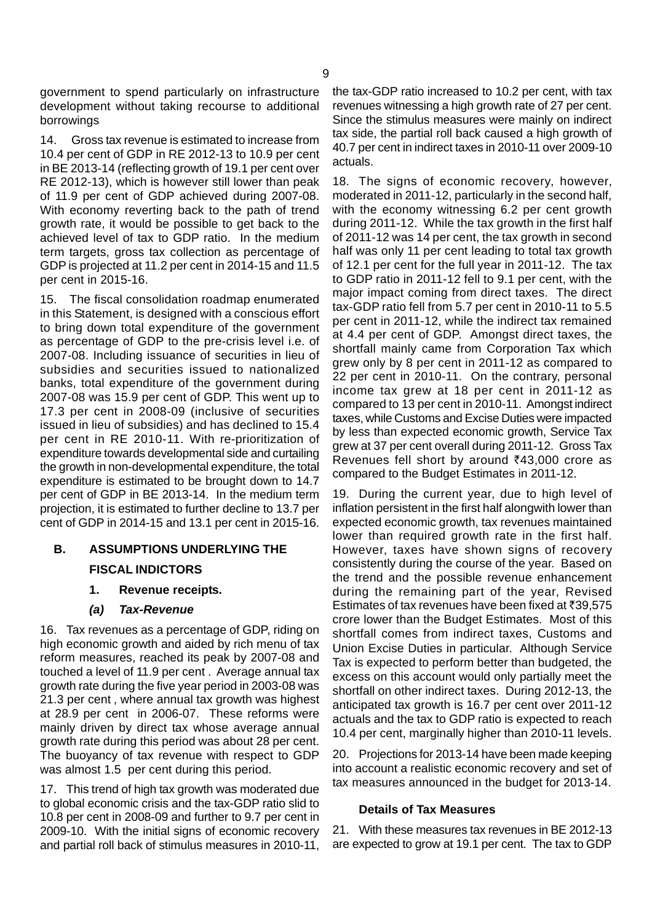government to spend particularly on infrastructure development without taking recourse to additional borrowings

14. Gross tax revenue is estimated to increase from 10.4 per cent of GDP in RE 2012-13 to 10.9 per cent in BE 2013-14 (reflecting growth of 19.1 per cent over RE 2012-13), which is however still lower than peak of 11.9 per cent of GDP achieved during 2007-08. With economy reverting back to the path of trend growth rate, it would be possible to get back to the achieved level of tax to GDP ratio. In the medium term targets, gross tax collection as percentage of GDP is projected at 11.2 per cent in 2014-15 and 11.5 per cent in 2015-16.

15. The fiscal consolidation roadmap enumerated in this Statement, is designed with a conscious effort to bring down total expenditure of the government as percentage of GDP to the pre-crisis level i.e. of 2007-08. Including issuance of securities in lieu of subsidies and securities issued to nationalized banks, total expenditure of the government during 2007-08 was 15.9 per cent of GDP. This went up to 17.3 per cent in 2008-09 (inclusive of securities issued in lieu of subsidies) and has declined to 15.4 per cent in RE 2010-11. With re-prioritization of expenditure towards developmental side and curtailing the growth in non-developmental expenditure, the total expenditure is estimated to be brought down to 14.7 per cent of GDP in BE 2013-14. In the medium term projection, it is estimated to further decline to 13.7 per cent of GDP in 2014-15 and 13.1 per cent in 2015-16.

# **B. ASSUMPTIONS UNDERLYING THE**

# **FISCAL INDICTORS**

**1. Revenue receipts.**

# *(a) Tax-Revenue*

16. Tax revenues as a percentage of GDP, riding on high economic growth and aided by rich menu of tax reform measures, reached its peak by 2007-08 and touched a level of 11.9 per cent . Average annual tax growth rate during the five year period in 2003-08 was 21.3 per cent , where annual tax growth was highest at 28.9 per cent in 2006-07. These reforms were mainly driven by direct tax whose average annual growth rate during this period was about 28 per cent. The buoyancy of tax revenue with respect to GDP was almost 1.5 per cent during this period.

17. This trend of high tax growth was moderated due to global economic crisis and the tax-GDP ratio slid to 10.8 per cent in 2008-09 and further to 9.7 per cent in 2009-10. With the initial signs of economic recovery and partial roll back of stimulus measures in 2010-11,

the tax-GDP ratio increased to 10.2 per cent, with tax revenues witnessing a high growth rate of 27 per cent. Since the stimulus measures were mainly on indirect tax side, the partial roll back caused a high growth of 40.7 per cent in indirect taxes in 2010-11 over 2009-10 actuals.

18. The signs of economic recovery, however, moderated in 2011-12, particularly in the second half, with the economy witnessing 6.2 per cent growth during 2011-12. While the tax growth in the first half of 2011-12 was 14 per cent, the tax growth in second half was only 11 per cent leading to total tax growth of 12.1 per cent for the full year in 2011-12. The tax to GDP ratio in 2011-12 fell to 9.1 per cent, with the major impact coming from direct taxes. The direct tax-GDP ratio fell from 5.7 per cent in 2010-11 to 5.5 per cent in 2011-12, while the indirect tax remained at 4.4 per cent of GDP. Amongst direct taxes, the shortfall mainly came from Corporation Tax which grew only by 8 per cent in 2011-12 as compared to 22 per cent in 2010-11. On the contrary, personal income tax grew at 18 per cent in 2011-12 as compared to 13 per cent in 2010-11. Amongst indirect taxes, while Customs and Excise Duties were impacted by less than expected economic growth, Service Tax grew at 37 per cent overall during 2011-12. Gross Tax Revenues fell short by around  $743,000$  crore as compared to the Budget Estimates in 2011-12.

19. During the current year, due to high level of inflation persistent in the first half alongwith lower than expected economic growth, tax revenues maintained lower than required growth rate in the first half. However, taxes have shown signs of recovery consistently during the course of the year. Based on the trend and the possible revenue enhancement during the remaining part of the year, Revised Estimates of tax revenues have been fixed at  $\bar{z}39,575$ crore lower than the Budget Estimates. Most of this shortfall comes from indirect taxes, Customs and Union Excise Duties in particular. Although Service Tax is expected to perform better than budgeted, the excess on this account would only partially meet the shortfall on other indirect taxes. During 2012-13, the anticipated tax growth is 16.7 per cent over 2011-12 actuals and the tax to GDP ratio is expected to reach 10.4 per cent, marginally higher than 2010-11 levels.

20. Projections for 2013-14 have been made keeping into account a realistic economic recovery and set of tax measures announced in the budget for 2013-14.

#### **Details of Tax Measures**

21. With these measures tax revenues in BE 2012-13 are expected to grow at 19.1 per cent. The tax to GDP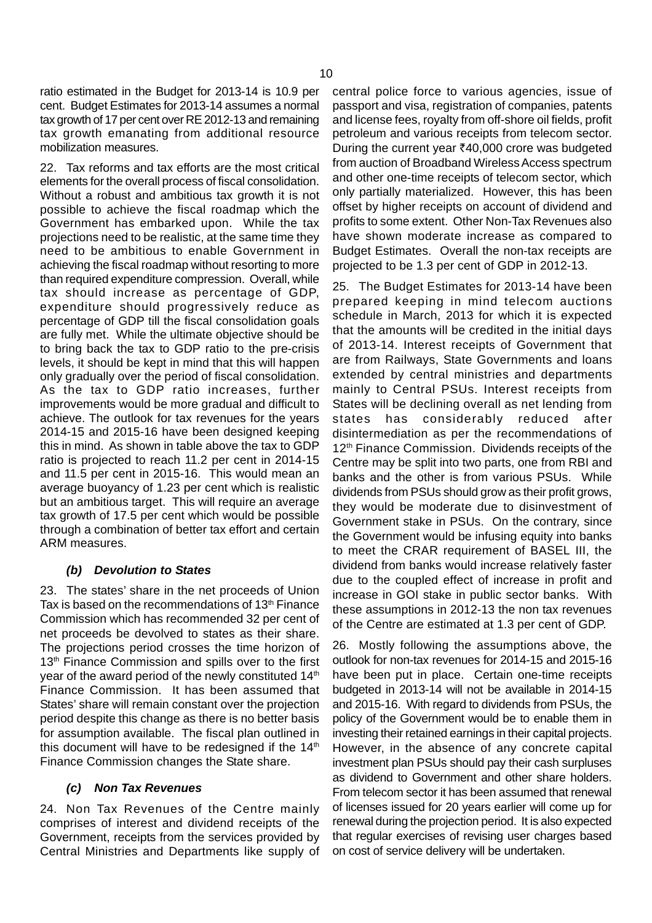ratio estimated in the Budget for 2013-14 is 10.9 per cent. Budget Estimates for 2013-14 assumes a normal tax growth of 17 per cent over RE 2012-13 and remaining tax growth emanating from additional resource mobilization measures.

22. Tax reforms and tax efforts are the most critical elements for the overall process of fiscal consolidation. Without a robust and ambitious tax growth it is not possible to achieve the fiscal roadmap which the Government has embarked upon. While the tax projections need to be realistic, at the same time they need to be ambitious to enable Government in achieving the fiscal roadmap without resorting to more than required expenditure compression. Overall, while tax should increase as percentage of GDP, expenditure should progressively reduce as percentage of GDP till the fiscal consolidation goals are fully met. While the ultimate objective should be to bring back the tax to GDP ratio to the pre-crisis levels, it should be kept in mind that this will happen only gradually over the period of fiscal consolidation. As the tax to GDP ratio increases, further improvements would be more gradual and difficult to achieve. The outlook for tax revenues for the years 2014-15 and 2015-16 have been designed keeping this in mind. As shown in table above the tax to GDP ratio is projected to reach 11.2 per cent in 2014-15 and 11.5 per cent in 2015-16. This would mean an average buoyancy of 1.23 per cent which is realistic but an ambitious target. This will require an average tax growth of 17.5 per cent which would be possible through a combination of better tax effort and certain ARM measures.

# *(b) Devolution to States*

23. The states' share in the net proceeds of Union Tax is based on the recommendations of  $13<sup>th</sup>$  Finance Commission which has recommended 32 per cent of net proceeds be devolved to states as their share. The projections period crosses the time horizon of 13<sup>th</sup> Finance Commission and spills over to the first year of the award period of the newly constituted 14<sup>th</sup> Finance Commission. It has been assumed that States' share will remain constant over the projection period despite this change as there is no better basis for assumption available. The fiscal plan outlined in this document will have to be redesigned if the  $14<sup>th</sup>$ Finance Commission changes the State share.

# *(c) Non Tax Revenues*

24. Non Tax Revenues of the Centre mainly comprises of interest and dividend receipts of the Government, receipts from the services provided by Central Ministries and Departments like supply of central police force to various agencies, issue of passport and visa, registration of companies, patents and license fees, royalty from off-shore oil fields, profit petroleum and various receipts from telecom sector. During the current year  $\text{\texttt{40,000}}$  crore was budgeted from auction of Broadband Wireless Access spectrum and other one-time receipts of telecom sector, which only partially materialized. However, this has been offset by higher receipts on account of dividend and profits to some extent. Other Non-Tax Revenues also have shown moderate increase as compared to Budget Estimates. Overall the non-tax receipts are projected to be 1.3 per cent of GDP in 2012-13.

25. The Budget Estimates for 2013-14 have been prepared keeping in mind telecom auctions schedule in March, 2013 for which it is expected that the amounts will be credited in the initial days of 2013-14. Interest receipts of Government that are from Railways, State Governments and loans extended by central ministries and departments mainly to Central PSUs. Interest receipts from States will be declining overall as net lending from states has considerably reduced after disintermediation as per the recommendations of 12<sup>th</sup> Finance Commission. Dividends receipts of the Centre may be split into two parts, one from RBI and banks and the other is from various PSUs. While dividends from PSUs should grow as their profit grows, they would be moderate due to disinvestment of Government stake in PSUs. On the contrary, since the Government would be infusing equity into banks to meet the CRAR requirement of BASEL III, the dividend from banks would increase relatively faster due to the coupled effect of increase in profit and increase in GOI stake in public sector banks. With these assumptions in 2012-13 the non tax revenues of the Centre are estimated at 1.3 per cent of GDP.

26. Mostly following the assumptions above, the outlook for non-tax revenues for 2014-15 and 2015-16 have been put in place. Certain one-time receipts budgeted in 2013-14 will not be available in 2014-15 and 2015-16. With regard to dividends from PSUs, the policy of the Government would be to enable them in investing their retained earnings in their capital projects. However, in the absence of any concrete capital investment plan PSUs should pay their cash surpluses as dividend to Government and other share holders. From telecom sector it has been assumed that renewal of licenses issued for 20 years earlier will come up for renewal during the projection period. It is also expected that regular exercises of revising user charges based on cost of service delivery will be undertaken.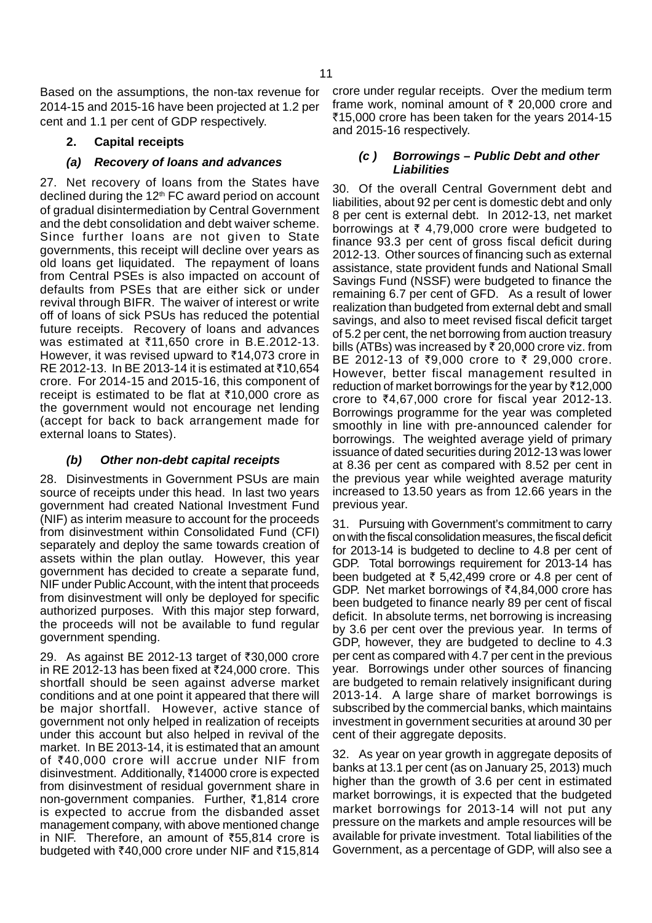Based on the assumptions, the non-tax revenue for 2014-15 and 2015-16 have been projected at 1.2 per cent and 1.1 per cent of GDP respectively.

### **2. Capital receipts**

### *(a) Recovery of loans and advances*

27. Net recovery of loans from the States have declined during the 12<sup>th</sup> FC award period on account of gradual disintermediation by Central Government and the debt consolidation and debt waiver scheme. Since further loans are not given to State governments, this receipt will decline over years as old loans get liquidated. The repayment of loans from Central PSEs is also impacted on account of defaults from PSEs that are either sick or under revival through BIFR. The waiver of interest or write off of loans of sick PSUs has reduced the potential future receipts. Recovery of loans and advances was estimated at  $\overline{5}11.650$  crore in B.E.2012-13. However, it was revised upward to  $\overline{514,073}$  crore in RE 2012-13. In BE 2013-14 it is estimated at  $\bar{z}$ 10,654 crore. For 2014-15 and 2015-16, this component of receipt is estimated to be flat at  $\overline{510,000}$  crore as the government would not encourage net lending (accept for back to back arrangement made for external loans to States).

## *(b) Other non-debt capital receipts*

28. Disinvestments in Government PSUs are main source of receipts under this head. In last two years government had created National Investment Fund (NIF) as interim measure to account for the proceeds from disinvestment within Consolidated Fund (CFI) separately and deploy the same towards creation of assets within the plan outlay. However, this year government has decided to create a separate fund, NIF under Public Account, with the intent that proceeds from disinvestment will only be deployed for specific authorized purposes. With this major step forward, the proceeds will not be available to fund regular government spending.

29. As against BE 2012-13 target of  $\overline{30,000}$  crore in RE 2012-13 has been fixed at  $\bar{\tau}$ 24,000 crore. This shortfall should be seen against adverse market conditions and at one point it appeared that there will be major shortfall. However, active stance of government not only helped in realization of receipts under this account but also helped in revival of the market. In BE 2013-14, it is estimated that an amount of ₹40,000 crore will accrue under NIF from disinvestment. Additionally, `14000 crore is expected from disinvestment of residual government share in non-government companies. Further,  $\bar{\zeta}$ 1,814 crore is expected to accrue from the disbanded asset management company, with above mentioned change in NIF. Therefore, an amount of  $\overline{55,814}$  crore is budgeted with  $\text{\texttt{40,000}}$  crore under NIF and  $\text{\texttt{415,814}}$ 

crore under regular receipts. Over the medium term frame work, nominal amount of  $\bar{\tau}$  20,000 crore and ₹15,000 crore has been taken for the years 2014-15 and 2015-16 respectively.

#### *(c ) Borrowings – Public Debt and other Liabilities*

30. Of the overall Central Government debt and liabilities, about 92 per cent is domestic debt and only 8 per cent is external debt. In 2012-13, net market borrowings at  $\bar{\tau}$  4,79,000 crore were budgeted to finance 93.3 per cent of gross fiscal deficit during 2012-13. Other sources of financing such as external assistance, state provident funds and National Small Savings Fund (NSSF) were budgeted to finance the remaining 6.7 per cent of GFD. As a result of lower realization than budgeted from external debt and small savings, and also to meet revised fiscal deficit target of 5.2 per cent, the net borrowing from auction treasury bills (ATBs) was increased by  $\bar{\tau}$  20,000 crore viz. from BE 2012-13 of ₹9,000 crore to ₹ 29,000 crore. However, better fiscal management resulted in reduction of market borrowings for the year by  $\overline{5}12,000$ crore to  $\overline{54,67,000}$  crore for fiscal year 2012-13. Borrowings programme for the year was completed smoothly in line with pre-announced calender for borrowings. The weighted average yield of primary issuance of dated securities during 2012-13 was lower at 8.36 per cent as compared with 8.52 per cent in the previous year while weighted average maturity increased to 13.50 years as from 12.66 years in the previous year.

31. Pursuing with Government's commitment to carry on with the fiscal consolidation measures, the fiscal deficit for 2013-14 is budgeted to decline to 4.8 per cent of GDP. Total borrowings requirement for 2013-14 has been budgeted at  $\bar{\tau}$  5,42,499 crore or 4.8 per cent of GDP. Net market borrowings of  $\bar{\tau}$ 4,84,000 crore has been budgeted to finance nearly 89 per cent of fiscal deficit. In absolute terms, net borrowing is increasing by 3.6 per cent over the previous year. In terms of GDP, however, they are budgeted to decline to 4.3 per cent as compared with 4.7 per cent in the previous year. Borrowings under other sources of financing are budgeted to remain relatively insignificant during 2013-14. A large share of market borrowings is subscribed by the commercial banks, which maintains investment in government securities at around 30 per cent of their aggregate deposits.

32. As year on year growth in aggregate deposits of banks at 13.1 per cent (as on January 25, 2013) much higher than the growth of 3.6 per cent in estimated market borrowings, it is expected that the budgeted market borrowings for 2013-14 will not put any pressure on the markets and ample resources will be available for private investment. Total liabilities of the Government, as a percentage of GDP, will also see a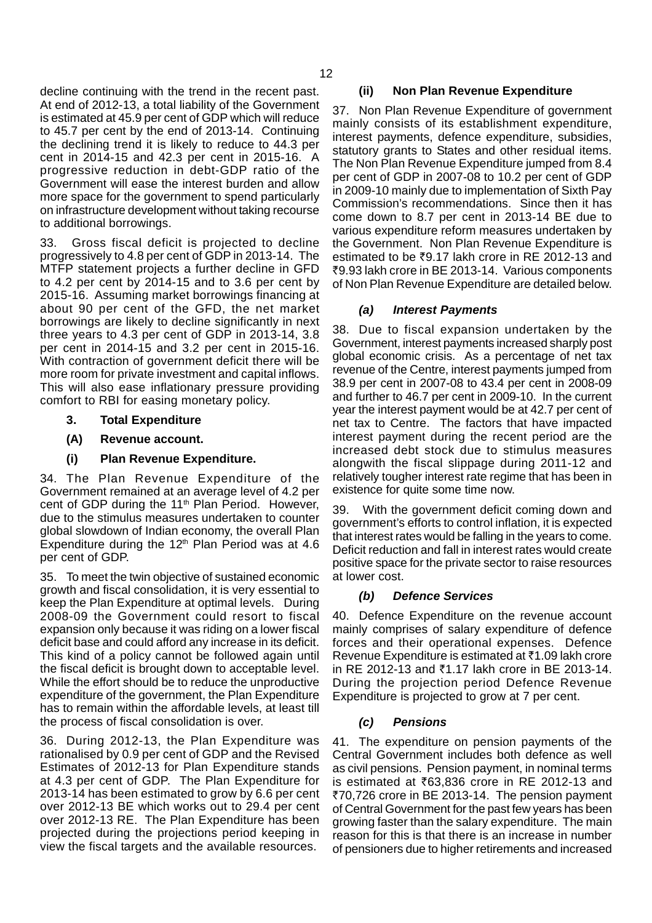decline continuing with the trend in the recent past. At end of 2012-13, a total liability of the Government is estimated at 45.9 per cent of GDP which will reduce to 45.7 per cent by the end of 2013-14. Continuing the declining trend it is likely to reduce to 44.3 per cent in 2014-15 and 42.3 per cent in 2015-16. A progressive reduction in debt-GDP ratio of the Government will ease the interest burden and allow more space for the government to spend particularly on infrastructure development without taking recourse to additional borrowings.

33. Gross fiscal deficit is projected to decline progressively to 4.8 per cent of GDP in 2013-14. The MTFP statement projects a further decline in GFD to 4.2 per cent by 2014-15 and to 3.6 per cent by 2015-16. Assuming market borrowings financing at about 90 per cent of the GFD, the net market borrowings are likely to decline significantly in next three years to 4.3 per cent of GDP in 2013-14, 3.8 per cent in 2014-15 and 3.2 per cent in 2015-16. With contraction of government deficit there will be more room for private investment and capital inflows. This will also ease inflationary pressure providing comfort to RBI for easing monetary policy.

- **3. Total Expenditure**
- **(A) Revenue account.**
- **(i) Plan Revenue Expenditure.**

34. The Plan Revenue Expenditure of the Government remained at an average level of 4.2 per cent of GDP during the 11<sup>th</sup> Plan Period. However, due to the stimulus measures undertaken to counter global slowdown of Indian economy, the overall Plan Expenditure during the  $12<sup>th</sup>$  Plan Period was at 4.6 per cent of GDP.

35. To meet the twin objective of sustained economic growth and fiscal consolidation, it is very essential to keep the Plan Expenditure at optimal levels. During 2008-09 the Government could resort to fiscal expansion only because it was riding on a lower fiscal deficit base and could afford any increase in its deficit. This kind of a policy cannot be followed again until the fiscal deficit is brought down to acceptable level. While the effort should be to reduce the unproductive expenditure of the government, the Plan Expenditure has to remain within the affordable levels, at least till the process of fiscal consolidation is over.

36. During 2012-13, the Plan Expenditure was rationalised by 0.9 per cent of GDP and the Revised Estimates of 2012-13 for Plan Expenditure stands at 4.3 per cent of GDP. The Plan Expenditure for 2013-14 has been estimated to grow by 6.6 per cent over 2012-13 BE which works out to 29.4 per cent over 2012-13 RE. The Plan Expenditure has been projected during the projections period keeping in view the fiscal targets and the available resources.

### **(ii) Non Plan Revenue Expenditure**

37. Non Plan Revenue Expenditure of government mainly consists of its establishment expenditure, interest payments, defence expenditure, subsidies, statutory grants to States and other residual items. The Non Plan Revenue Expenditure jumped from 8.4 per cent of GDP in 2007-08 to 10.2 per cent of GDP in 2009-10 mainly due to implementation of Sixth Pay Commission's recommendations. Since then it has come down to 8.7 per cent in 2013-14 BE due to various expenditure reform measures undertaken by the Government. Non Plan Revenue Expenditure is estimated to be ₹9.17 lakh crore in RE 2012-13 and `9.93 lakh crore in BE 2013-14. Various components of Non Plan Revenue Expenditure are detailed below.

### *(a) Interest Payments*

38. Due to fiscal expansion undertaken by the Government, interest payments increased sharply post global economic crisis. As a percentage of net tax revenue of the Centre, interest payments jumped from 38.9 per cent in 2007-08 to 43.4 per cent in 2008-09 and further to 46.7 per cent in 2009-10. In the current year the interest payment would be at 42.7 per cent of net tax to Centre. The factors that have impacted interest payment during the recent period are the increased debt stock due to stimulus measures alongwith the fiscal slippage during 2011-12 and relatively tougher interest rate regime that has been in existence for quite some time now.

39. With the government deficit coming down and government's efforts to control inflation, it is expected that interest rates would be falling in the years to come. Deficit reduction and fall in interest rates would create positive space for the private sector to raise resources at lower cost.

# *(b) Defence Services*

40. Defence Expenditure on the revenue account mainly comprises of salary expenditure of defence forces and their operational expenses. Defence Revenue Expenditure is estimated at  $\bar{c}1.09$  lakh crore in RE 2012-13 and ₹1.17 lakh crore in BE 2013-14. During the projection period Defence Revenue Expenditure is projected to grow at 7 per cent.

# *(c) Pensions*

41. The expenditure on pension payments of the Central Government includes both defence as well as civil pensions. Pension payment, in nominal terms is estimated at  $\text{\textdegree{63,836}}$  crore in RE 2012-13 and ₹70,726 crore in BE 2013-14. The pension payment of Central Government for the past few years has been growing faster than the salary expenditure. The main reason for this is that there is an increase in number of pensioners due to higher retirements and increased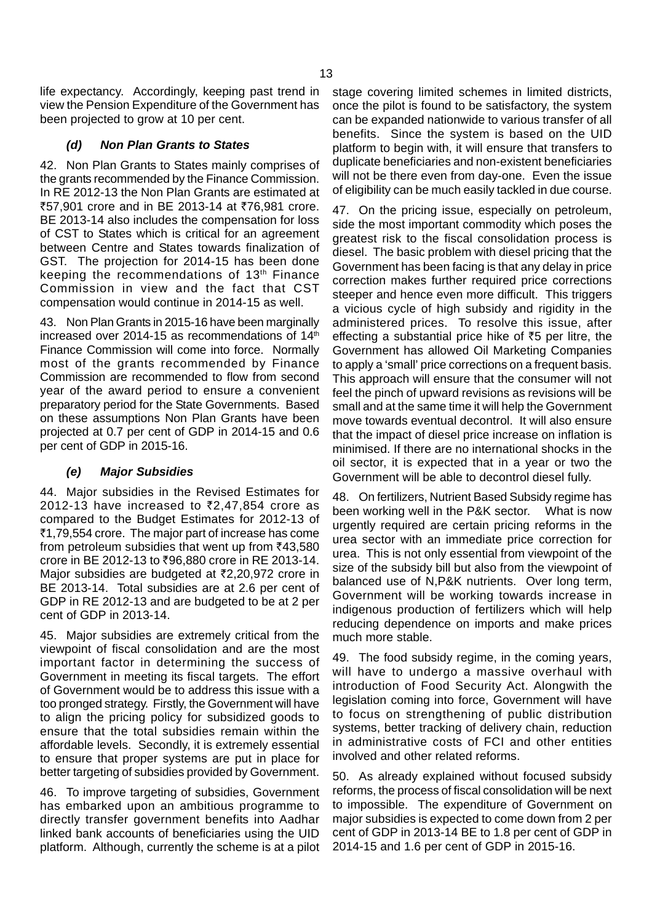life expectancy. Accordingly, keeping past trend in view the Pension Expenditure of the Government has been projected to grow at 10 per cent.

# *(d) Non Plan Grants to States*

42. Non Plan Grants to States mainly comprises of the grants recommended by the Finance Commission. In RE 2012-13 the Non Plan Grants are estimated at ₹57,901 crore and in BE 2013-14 at ₹76,981 crore. BE 2013-14 also includes the compensation for loss of CST to States which is critical for an agreement between Centre and States towards finalization of GST. The projection for 2014-15 has been done keeping the recommendations of 13th Finance Commission in view and the fact that CST compensation would continue in 2014-15 as well.

43. Non Plan Grants in 2015-16 have been marginally increased over 2014-15 as recommendations of  $14<sup>th</sup>$ Finance Commission will come into force. Normally most of the grants recommended by Finance Commission are recommended to flow from second year of the award period to ensure a convenient preparatory period for the State Governments. Based on these assumptions Non Plan Grants have been projected at 0.7 per cent of GDP in 2014-15 and 0.6 per cent of GDP in 2015-16.

# *(e) Major Subsidies*

44. Major subsidies in the Revised Estimates for 2012-13 have increased to  $\overline{z}2,47,854$  crore as compared to the Budget Estimates for 2012-13 of ₹1,79,554 crore. The major part of increase has come from petroleum subsidies that went up from  $\overline{5}43.580$ crore in BE 2012-13 to ₹96,880 crore in RE 2013-14. Major subsidies are budgeted at  $\bar{\zeta}2,20,972$  crore in BE 2013-14. Total subsidies are at 2.6 per cent of GDP in RE 2012-13 and are budgeted to be at 2 per cent of GDP in 2013-14.

45. Major subsidies are extremely critical from the viewpoint of fiscal consolidation and are the most important factor in determining the success of Government in meeting its fiscal targets. The effort of Government would be to address this issue with a too pronged strategy. Firstly, the Government will have to align the pricing policy for subsidized goods to ensure that the total subsidies remain within the affordable levels. Secondly, it is extremely essential to ensure that proper systems are put in place for better targeting of subsidies provided by Government.

46. To improve targeting of subsidies, Government has embarked upon an ambitious programme to directly transfer government benefits into Aadhar linked bank accounts of beneficiaries using the UID platform. Although, currently the scheme is at a pilot stage covering limited schemes in limited districts, once the pilot is found to be satisfactory, the system can be expanded nationwide to various transfer of all benefits. Since the system is based on the UID platform to begin with, it will ensure that transfers to duplicate beneficiaries and non-existent beneficiaries will not be there even from day-one. Even the issue of eligibility can be much easily tackled in due course.

47. On the pricing issue, especially on petroleum, side the most important commodity which poses the greatest risk to the fiscal consolidation process is diesel. The basic problem with diesel pricing that the Government has been facing is that any delay in price correction makes further required price corrections steeper and hence even more difficult. This triggers a vicious cycle of high subsidy and rigidity in the administered prices. To resolve this issue, after effecting a substantial price hike of  $\overline{5}5$  per litre, the Government has allowed Oil Marketing Companies to apply a 'small' price corrections on a frequent basis. This approach will ensure that the consumer will not feel the pinch of upward revisions as revisions will be small and at the same time it will help the Government move towards eventual decontrol. It will also ensure that the impact of diesel price increase on inflation is minimised. If there are no international shocks in the oil sector, it is expected that in a year or two the Government will be able to decontrol diesel fully.

48. On fertilizers, Nutrient Based Subsidy regime has been working well in the P&K sector. What is now urgently required are certain pricing reforms in the urea sector with an immediate price correction for urea. This is not only essential from viewpoint of the size of the subsidy bill but also from the viewpoint of balanced use of N,P&K nutrients. Over long term, Government will be working towards increase in indigenous production of fertilizers which will help reducing dependence on imports and make prices much more stable.

49. The food subsidy regime, in the coming years, will have to undergo a massive overhaul with introduction of Food Security Act. Alongwith the legislation coming into force, Government will have to focus on strengthening of public distribution systems, better tracking of delivery chain, reduction in administrative costs of FCI and other entities involved and other related reforms.

50. As already explained without focused subsidy reforms, the process of fiscal consolidation will be next to impossible. The expenditure of Government on major subsidies is expected to come down from 2 per cent of GDP in 2013-14 BE to 1.8 per cent of GDP in 2014-15 and 1.6 per cent of GDP in 2015-16.